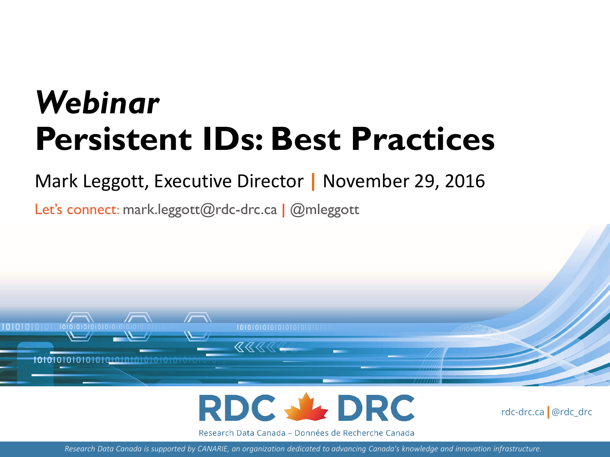# *Webinar* **Persistent IDs: Best Practices**

#### Mark Leggott, Executive Director **|** November 29, 2016

Let's connect: mark.leggott@rdc-drc.ca **|** @mleggott





rdc-drc.ca @rdc\_drc

Research Data Canada - Données de Recherche Canada

*Research Data Canada is supported by CANARIE, an organization dedicated to advancing Canada's knowledge and innovation infrastructure.*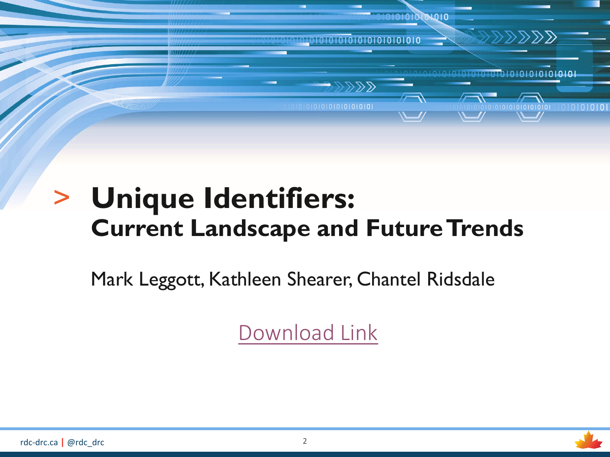

### > **Unique Identifiers: Current Landscape and Future Trends**

Mark Leggott, Kathleen Shearer, Chantel Ridsdale

[Download Link](https://cp.sync.com/dl/7cd384560#zwrgz8tf-tc4u9zqr-6fgunecm-3njzwnd9)

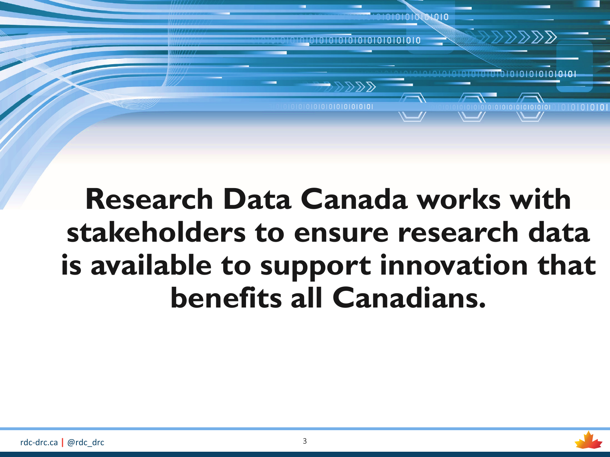

### **Research Data Canada works with stakeholders to ensure research data is available to support innovation that benefits all Canadians.**

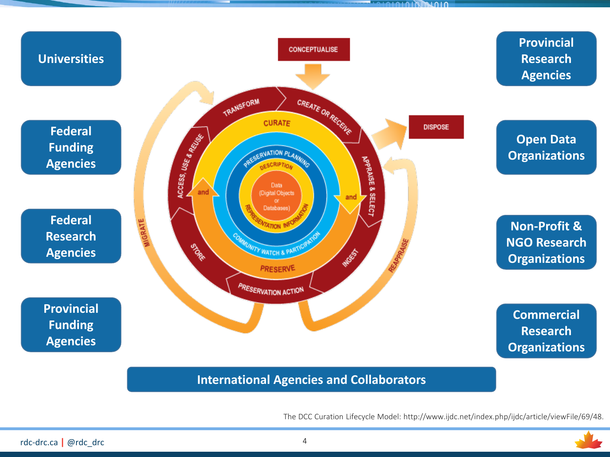

**International Agencies and Collaborators**

The DCC Curation Lifecycle Model: http://www.ijdc.net/index.php/ijdc/article/viewFile/69/48.

**HALALALALALAMALALALA**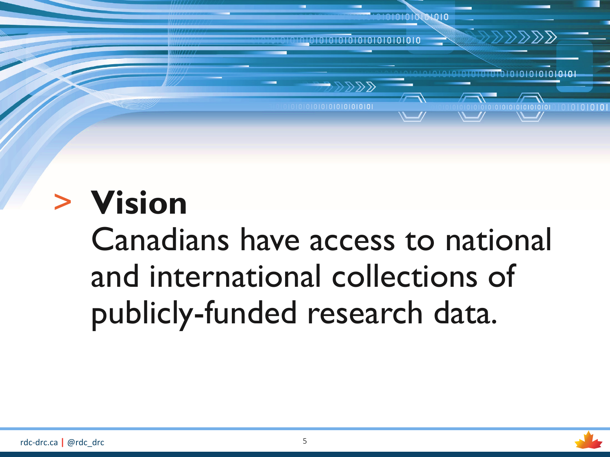

01010101010

0000000000000000000

Canadians have access to national and international collections of publicly-funded research data.

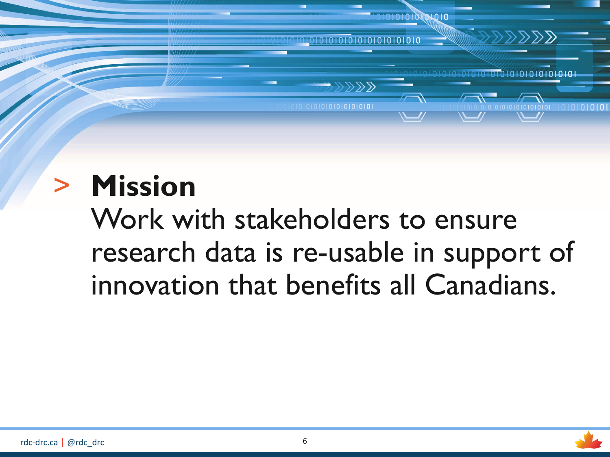

 $1010$ 

**QLQLQLQTATTATTATT** 

0000000000

00000000000000000000

000000000000000000

 $\mathbb{R} \times \mathbb{R}$ 

101010101010101010101

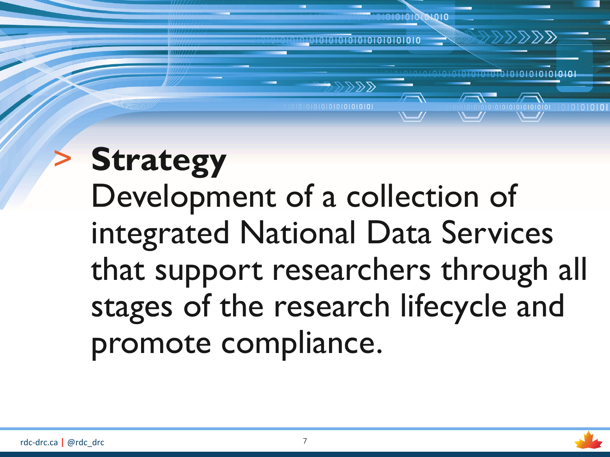# **Strategy** Development of a collection of integrated National Data Services that support researchers through all stages of the research lifecycle and promote compliance.

1010101010101010101010

 $77777$ 

000000000000000000

NO10

101010101010101

01010101010101010101010

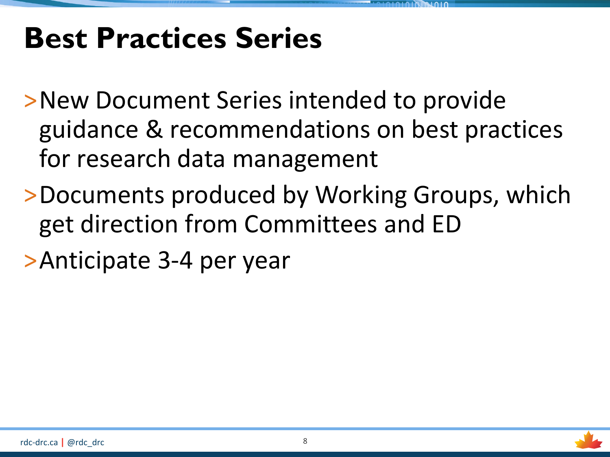### **Best Practices Series**

- ˃New Document Series intended to provide guidance & recommendations on best practices for research data management
- ˃Documents produced by Working Groups, which get direction from Committees and ED
- ˃Anticipate 3-4 per year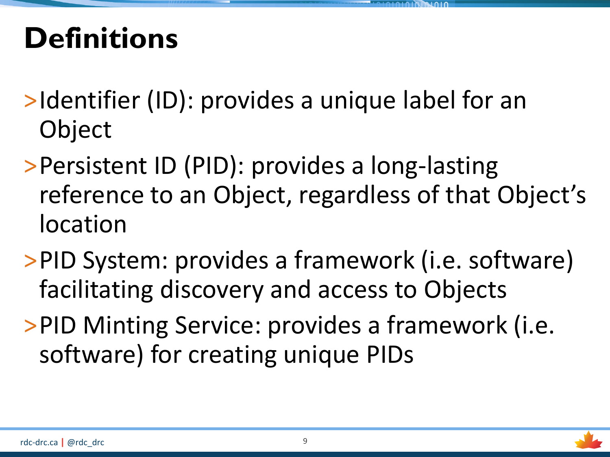# **Definitions**

- >Identifier (ID): provides a unique label for an **Object**
- ˃Persistent ID (PID): provides a long-lasting reference to an Object, regardless of that Object's location
- ˃PID System: provides a framework (i.e. software) facilitating discovery and access to Objects
- ˃PID Minting Service: provides a framework (i.e. software) for creating unique PIDs

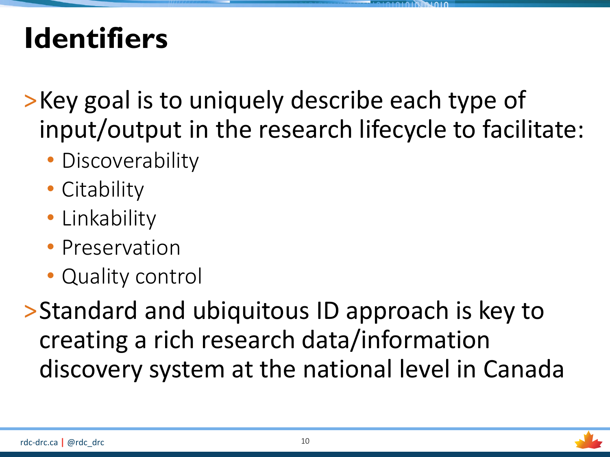# **Identifiers**

˃Key goal is to uniquely describe each type of input/output in the research lifecycle to facilitate:

- Discoverability
- Citability
- Linkability
- Preservation
- Quality control

˃Standard and ubiquitous ID approach is key to creating a rich research data/information discovery system at the national level in Canada

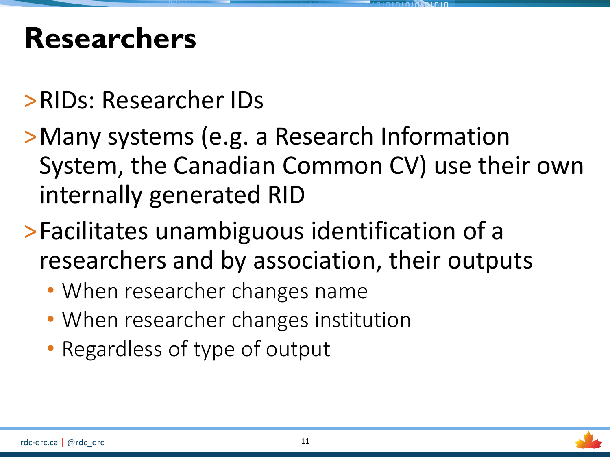### **Researchers**

- ˃RIDs: Researcher IDs
- ˃Many systems (e.g. a Research Information System, the Canadian Common CV) use their own internally generated RID
- ˃Facilitates unambiguous identification of a researchers and by association, their outputs
	- When researcher changes name
	- When researcher changes institution
	- Regardless of type of output

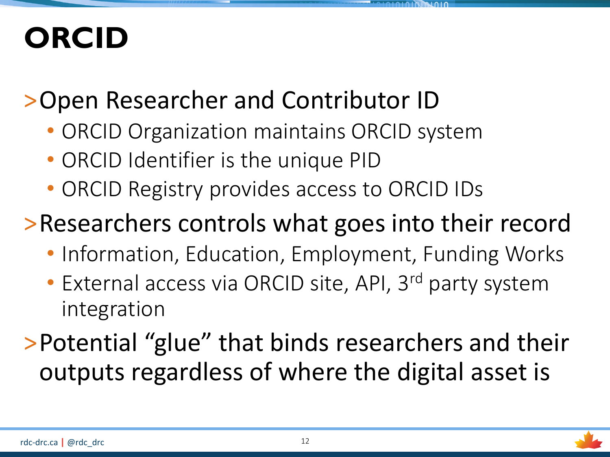# **ORCID**

### ˃Open Researcher and Contributor ID

- ORCID Organization maintains ORCID system
- ORCID Identifier is the unique PID
- ORCID Registry provides access to ORCID IDs

˃Researchers controls what goes into their record

- Information, Education, Employment, Funding Works
- External access via ORCID site, API, 3<sup>rd</sup> party system integration
- ˃Potential "glue" that binds researchers and their outputs regardless of where the digital asset is

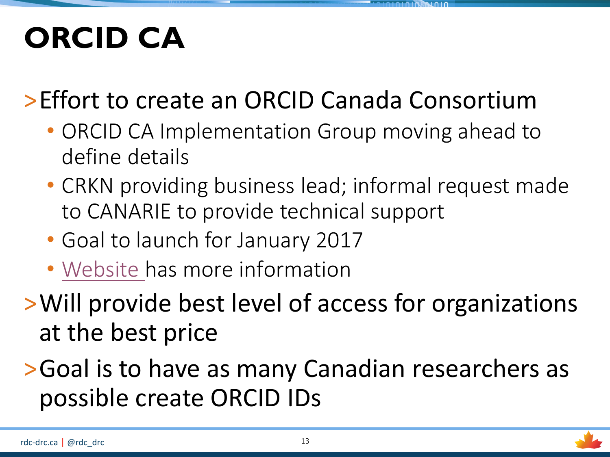# **ORCID CA**

### ˃Effort to create an ORCID Canada Consortium

- ORCID CA Implementation Group moving ahead to define details
- CRKN providing business lead; informal request made to CANARIE to provide technical support
- Goal to launch for January 2017
- [Website h](http://docs.casrai.org/ORCID_CA_Consortium)as more information

### ˃Will provide best level of access for organizations at the best price

### ˃Goal is to have as many Canadian researchers as possible create ORCID IDs

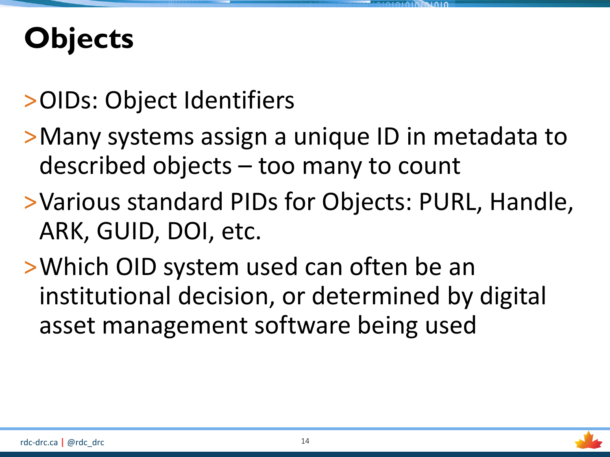# **Objects**

### ˃OIDs: Object Identifiers

- ˃Many systems assign a unique ID in metadata to described objects – too many to count
- ˃Various standard PIDs for Objects: PURL, Handle, ARK, GUID, DOI, etc.
- ˃Which OID system used can often be an institutional decision, or determined by digital asset management software being used

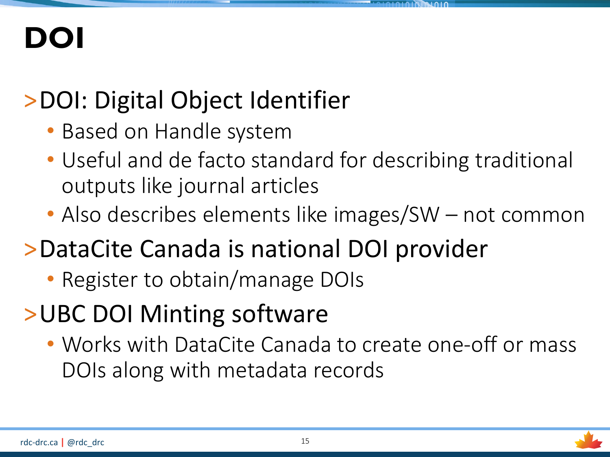# **DOI**

### ˃DOI: Digital Object Identifier

- Based on Handle system
- Useful and de facto standard for describing traditional outputs like journal articles
- Also describes elements like images/SW not common

### ˃DataCite Canada is national DOI provider

• Register to obtain/manage DOIs

### ˃UBC DOI Minting software

• Works with DataCite Canada to create one-off or mass DOIs along with metadata records

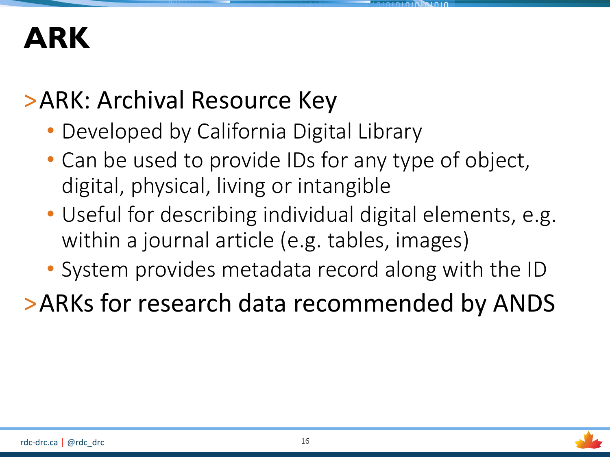### **ARK**

#### >ARK: Archival Resource Key

- Developed by California Digital Library
- Can be used to provide IDs for any type of object, digital, physical, living or intangible
- Useful for describing individual digital elements, e.g. within a journal article (e.g. tables, images)
- System provides metadata record along with the ID

>ARKs for research data recommended by ANDS

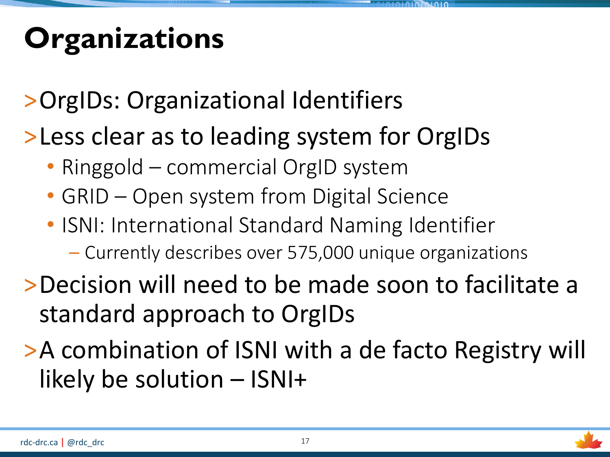# **Organizations**

### ˃OrgIDs: Organizational Identifiers

#### ˃Less clear as to leading system for OrgIDs

- Ringgold commercial OrgID system
- GRID Open system from Digital Science
- ISNI: International Standard Naming Identifier
	- Currently describes over 575,000 unique organizations
- ˃Decision will need to be made soon to facilitate a standard approach to OrgIDs
- >A combination of ISNI with a de facto Registry will likely be solution – ISNI+

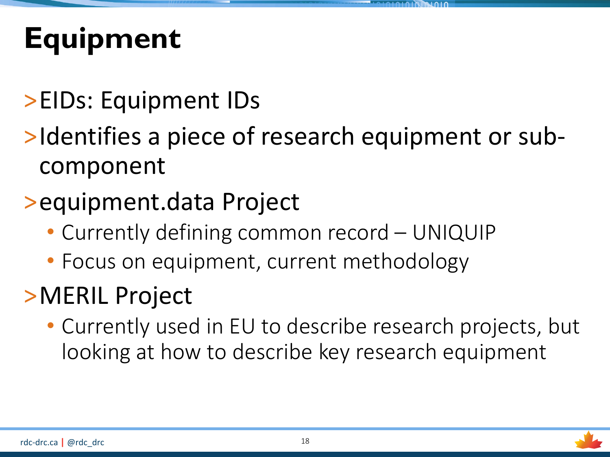# **Equipment**

- ˃EIDs: Equipment IDs
- >Identifies a piece of research equipment or subcomponent
- > equipment.data Project
	- Currently defining common record UNIQUIP
	- Focus on equipment, current methodology

### >MERIL Project

• Currently used in EU to describe research projects, but looking at how to describe key research equipment

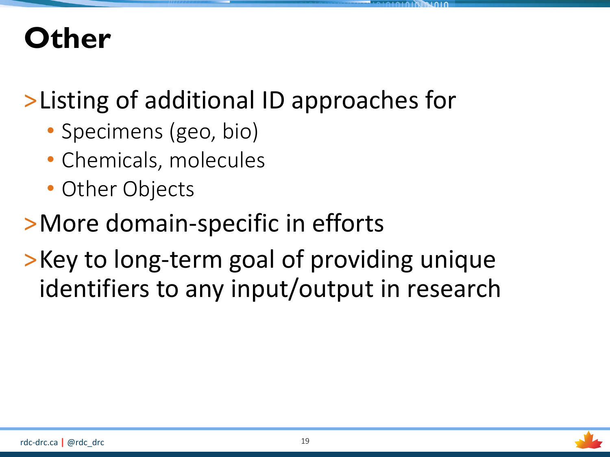## **Other**

### ˃Listing of additional ID approaches for

- Specimens (geo, bio)
- Chemicals, molecules
- Other Objects

#### ˃More domain-specific in efforts

˃Key to long-term goal of providing unique identifiers to any input/output in research

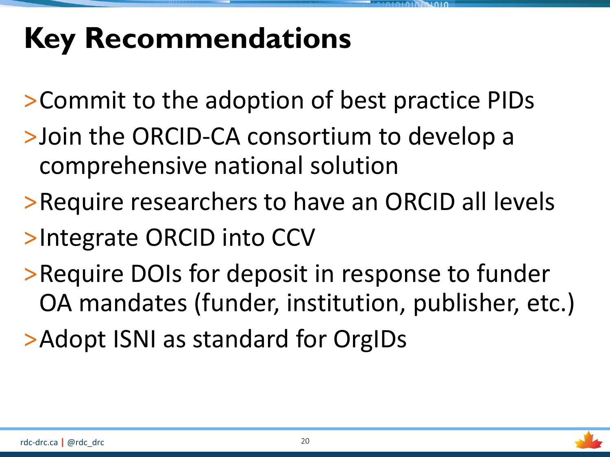# **Key Recommendations**

˃Commit to the adoption of best practice PIDs

- ˃Join the ORCID-CA consortium to develop a comprehensive national solution
- ˃Require researchers to have an ORCID all levels
- >Integrate ORCID into CCV
- ˃Require DOIs for deposit in response to funder OA mandates (funder, institution, publisher, etc.)
- ˃Adopt ISNI as standard for OrgIDs

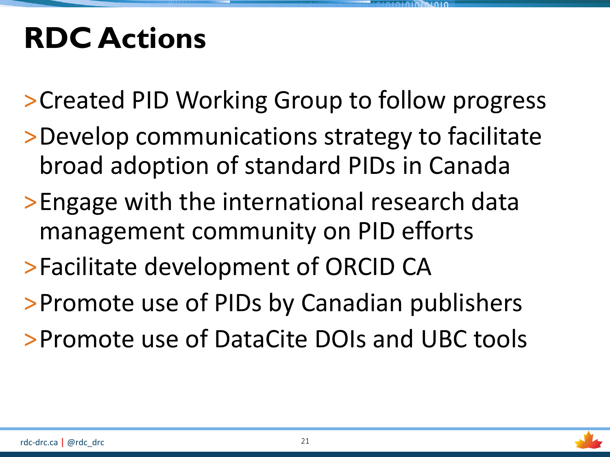# **RDC Actions**

˃Created PID Working Group to follow progress

- ˃Develop communications strategy to facilitate broad adoption of standard PIDs in Canada
- ˃Engage with the international research data management community on PID efforts
- ˃Facilitate development of ORCID CA
- ˃Promote use of PIDs by Canadian publishers
- ˃Promote use of DataCite DOIs and UBC tools